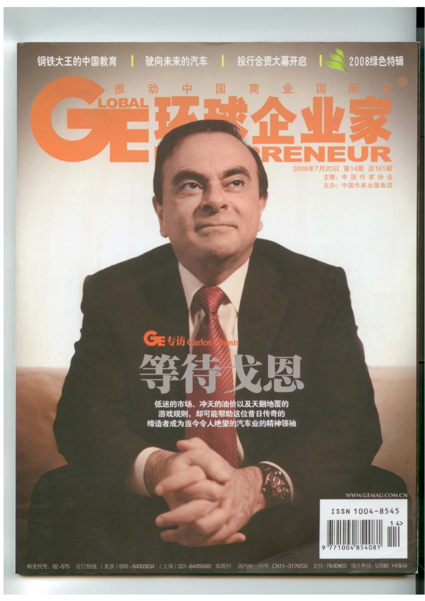# 2008绿色特辑 钢铁大王的中国教育 驶向未来的汽车 投行合资大幕开启 业 动 中 商 RAI

2008年7月20日 第14期 总161期 主管:中国作家协会 主办: 中国作家出版集团

# CE专访 Carlo

低迷的市场、冲天的油价以及天翻地覆的 缔造者成为当今令人绝望的汽车业的精神领袖

WWW.GEMAG.COM.CN

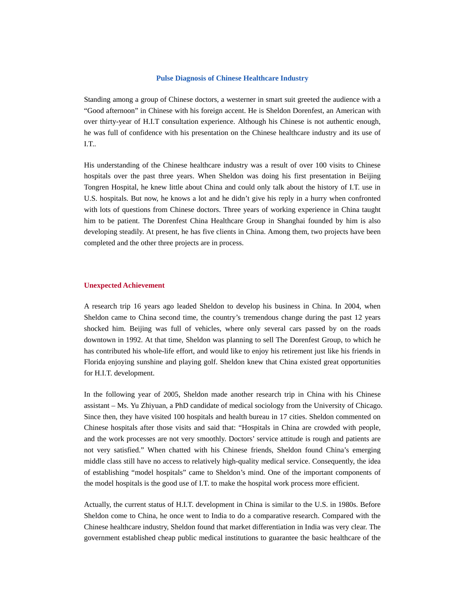### **Pulse Diagnosis of Chinese Healthcare Industry**

Standing among a group of Chinese doctors, a westerner in smart suit greeted the audience with a "Good afternoon" in Chinese with his foreign accent. He is Sheldon Dorenfest, an American with over thirty-year of H.I.T consultation experience. Although his Chinese is not authentic enough, he was full of confidence with his presentation on the Chinese healthcare industry and its use of I.T..

His understanding of the Chinese healthcare industry was a result of over 100 visits to Chinese hospitals over the past three years. When Sheldon was doing his first presentation in Beijing Tongren Hospital, he knew little about China and could only talk about the history of I.T. use in U.S. hospitals. But now, he knows a lot and he didn't give his reply in a hurry when confronted with lots of questions from Chinese doctors. Three years of working experience in China taught him to be patient. The Dorenfest China Healthcare Group in Shanghai founded by him is also developing steadily. At present, he has five clients in China. Among them, two projects have been completed and the other three projects are in process.

## **Unexpected Achievement**

A research trip 16 years ago leaded Sheldon to develop his business in China. In 2004, when Sheldon came to China second time, the country's tremendous change during the past 12 years shocked him. Beijing was full of vehicles, where only several cars passed by on the roads downtown in 1992. At that time, Sheldon was planning to sell The Dorenfest Group, to which he has contributed his whole-life effort, and would like to enjoy his retirement just like his friends in Florida enjoying sunshine and playing golf. Sheldon knew that China existed great opportunities for H.I.T. development.

In the following year of 2005, Sheldon made another research trip in China with his Chinese assistant – Ms. Yu Zhiyuan, a PhD candidate of medical sociology from the University of Chicago. Since then, they have visited 100 hospitals and health bureau in 17 cities. Sheldon commented on Chinese hospitals after those visits and said that: "Hospitals in China are crowded with people, and the work processes are not very smoothly. Doctors' service attitude is rough and patients are not very satisfied." When chatted with his Chinese friends, Sheldon found China's emerging middle class still have no access to relatively high-quality medical service. Consequently, the idea of establishing "model hospitals" came to Sheldon's mind. One of the important components of the model hospitals is the good use of I.T. to make the hospital work process more efficient.

Actually, the current status of H.I.T. development in China is similar to the U.S. in 1980s. Before Sheldon come to China, he once went to India to do a comparative research. Compared with the Chinese healthcare industry, Sheldon found that market differentiation in India was very clear. The government established cheap public medical institutions to guarantee the basic healthcare of the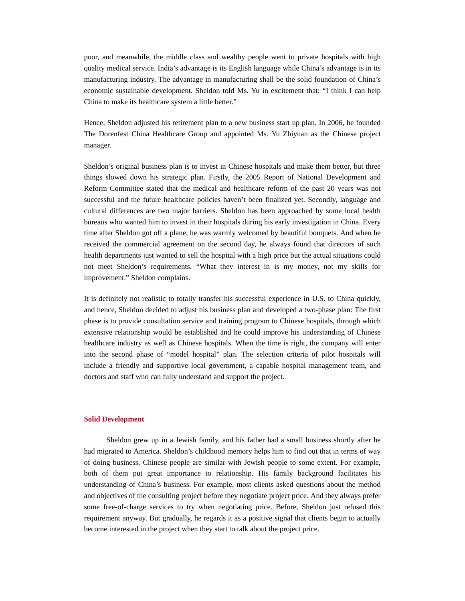poor, and meanwhile, the middle class and wealthy people went to private hospitals with high quality medical service. India's advantage is its English language while China's advantage is in its manufacturing industry. The advantage in manufacturing shall be the solid foundation of China's economic sustainable development. Sheldon told Ms. Yu in excitement that: "I think I can help China to make its healthcare system a little better."

Hence, Sheldon adjusted his retirement plan to a new business start up plan. In 2006, he founded The Dorenfest China Healthcare Group and appointed Ms. Yu Zhiyuan as the Chinese project manager.

Sheldon's original business plan is to invest in Chinese hospitals and make them better, but three things slowed down his strategic plan. Firstly, the 2005 Report of National Development and Reform Committee stated that the medical and healthcare reform of the past 20 years was not successful and the future healthcare policies haven't been finalized yet. Secondly, language and cultural differences are two major barriers. Sheldon has been approached by some local health bureaus who wanted him to invest in their hospitals during his early investigation in China. Every time after Sheldon got off a plane, he was warmly welcomed by beautiful bouquets. And when he received the commercial agreement on the second day, he always found that directors of such health departments just wanted to sell the hospital with a high price but the actual situations could not meet Sheldon's requirements. "What they interest in is my money, not my skills for improvement." Sheldon complains.

It is definitely not realistic to totally transfer his successful experience in U.S. to China quickly, and hence, Sheldon decided to adjust his business plan and developed a two-phase plan: The first phase is to provide consultation service and training program to Chinese hospitals, through which extensive relationship would be established and he could improve his understanding of Chinese healthcare industry as well as Chinese hospitals. When the time is right, the company will enter into the second phase of "model hospital" plan. The selection criteria of pilot hospitals will include a friendly and supportive local government, a capable hospital management team, and doctors and staff who can fully understand and support the project.

### **Solid Development**

Sheldon grew up in a Jewish family, and his father had a small business shortly after he had migrated to America. Sheldon's childhood memory helps him to find out that in terms of way of doing business, Chinese people are similar with Jewish people to some extent. For example, both of them put great importance to relationship. His family background facilitates his understanding of China's business. For example, most clients asked questions about the method and objectives of the consulting project before they negotiate project price. And they always prefer some free-of-charge services to try when negotiating price. Before, Sheldon just refused this requirement anyway. But gradually, he regards it as a positive signal that clients begin to actually become interested in the project when they start to talk about the project price.